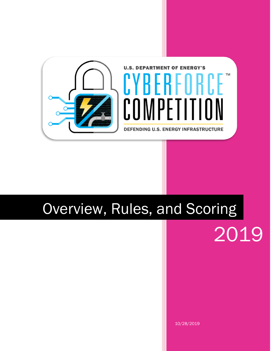

# Overview, Rules, and Scoring

2019

10/28/2019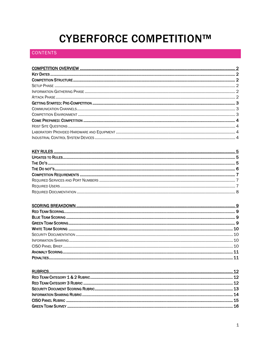## **CYBERFORCE COMPETITION™**

### **CONTENTS**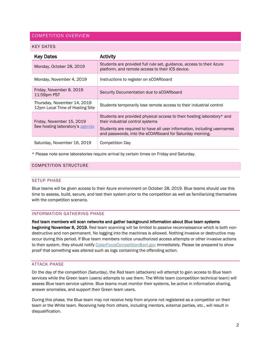#### <span id="page-2-0"></span>COMPETITION OVERVIEW

#### <span id="page-2-1"></span>KEY DATES

| <b>Key Dates</b>                                               | <b>Activity</b>                                                                                                                                                                                                                                   |
|----------------------------------------------------------------|---------------------------------------------------------------------------------------------------------------------------------------------------------------------------------------------------------------------------------------------------|
| Monday, October 28, 2019                                       | Students are provided full rule set, guidance, access to their Azure<br>platform, and remote access to their ICS device.                                                                                                                          |
| Monday, November 4, 2019                                       | Instructions to register on sCOARboard                                                                                                                                                                                                            |
| Friday, November 8. 2019<br>11:59pm PST                        | Security Documentation due to sCOARboard                                                                                                                                                                                                          |
| Thursday, November 14, 2019<br>12pm Local Time of Hosting Site | Students temporarily lose remote access to their industrial control                                                                                                                                                                               |
| Friday, November 15, 2019<br>See hosting laboratory's agenda   | Students are provided physical access to their hosting laboratory* and<br>their industrial control systems<br>Students are required to have all user information, including usernames<br>and passwords, into the sCOARboard for Saturday morning. |
| Saturday, November 16, 2019                                    | <b>Competition Day</b>                                                                                                                                                                                                                            |

\* Please note some laboratories require arrival by certain times on Friday and Saturday.

#### <span id="page-2-3"></span><span id="page-2-2"></span>COMPETITION STRUCTURE

#### SETUP PHASE

Blue teams will be given access to their Azure environment on October 28, 2019. Blue teams should use this time to assess, build, secure, and test their system prior to the competition as well as familiarizing themselves with the competition scenario.

#### <span id="page-2-4"></span>INFORMATION GATHERING PHASE

Red team members will scan networks and gather background information about Blue team systems

beginning November 8, 2019. Red team scanning will be limited to passive reconnaissance which is both nondestructive and non-permanent. No logging into the machines is allowed. Nothing invasive or destructive may occur during this period. If Blue team members notice unauthorized access attempts or other invasive actions to their system, they should notify [CyberForceCompetition@anl.gov](mailto:CyberForceCompetition@anl.gov) immediately. Please be prepared to show proof that something was altered such as logs containing the offending action.

#### <span id="page-2-5"></span>ATTACK PHASE

On the day of the competition (Saturday), the Red team (attackers) will attempt to gain access to Blue team services while the Green team (users) attempts to use them. The White team (competition technical team) will assess Blue team service uptime. Blue teams must monitor their systems, be active in information sharing, answer anomalies, and support their Green team users.

During this phase, the Blue team may not receive help from anyone not registered as a competitor on their team or the White team. Receiving help from others, including mentors, external parties, etc., will result in disqualification.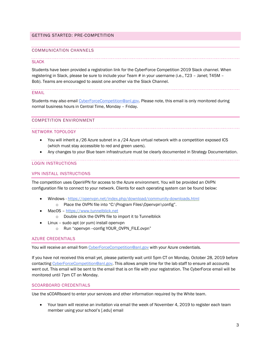#### <span id="page-3-0"></span>GETTING STARTED: PRE-COMPETITION

#### <span id="page-3-1"></span>COMMUNICATION CHANNELS

#### **SLACK**

Students have been provided a registration [link](https://join.slack.com/t/cyberforce2019/shared_invite/enQtNzg0MzY2MDcyMDMzLWZhZDZhNTZjYzY5MDEwOTFiN2VhZWQzODIxODMwMmU5MjBlNmU4ZmViMmIzZGEwZTIzNWFmY2E4MmUxNzAwZDA) for the CyberForce Competition 2019 Slack channel. When registering in Slack, please be sure to include your Team # in your username (i.e., T23 – Janet; T45M – Bob). Teams are encouraged to assist one another via the Slack Channel.

#### EMAIL

Students may also email [CyberForceCompetition@anl.gov.](mailto:CyberForceCompetition@anl.gov) Please note, this email is only monitored during normal business hours in Central Time, Monday – Friday.

#### <span id="page-3-2"></span>COMPETITION ENVIRONMENT

#### NETWORK TOPOLOGY

- You will inherit a /26 Azure subnet in a /24 Azure virtual network with a competition exposed ICS (which must stay accessible to red and green users).
- Any changes to your Blue team infrastructure must be clearly documented in Strategy Documentation.

#### LOGIN INSTRUCTIONS

#### VPN INSTALL INSTRUCTIONS

The competition uses OpenVPN for access to the Azure environment. You will be provided an OVPN configuration file to connect to your network. Clients for each operating system can be found below:

- Windows <https://openvpn.net/index.php/download/community-downloads.html> o Place the OVPN file into "C:\Program Files\Openvpn\config".
- MacOS [https://www.tunnelblick.net](https://www.tunnelblick.net/)
	- o Double click the OVPN file to import it to Tunnelblick
- Linux sudo apt (or yum) install openvpn
	- o Run "openvpn --config YOUR\_OVPN\_FILE.ovpn"

#### AZURE CREDENTIALS

You will receive an email from [CyberForceCompetition@anl.gov](mailto:CyberForceCompetition@anl.gov) with your Azure credentials.

If you have not received this email yet, please patiently wait until 5pm CT on Monday, October 28, 2019 before contacting [CyberForceCompetition@anl.gov.](mailto:CyberForceCompetition@anl.gov) This allows ample time for the lab staff to ensure all accounts went out. This email will be sent to the email that is on file with your registration. The CyberForce email will be monitored until 7pm CT on Monday.

#### SCOARBOARD CREDENTIALS

Use the sCOARboard to enter your services and other information required by the White team.

 Your team will receive an invitation via email the week of November 4, 2019 to register each team member using your school's [.edu] email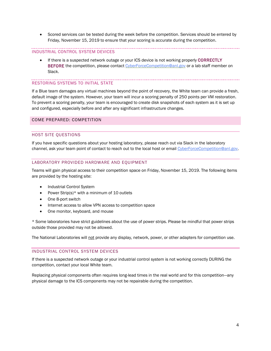Scored services can be tested during the week before the competition. Services should be entered by Friday, November 15, 2019 to ensure that your scoring is accurate during the competition.

#### INDUSTRIAL CONTROL SYSTEM DEVICES

 If there is a suspected network outage or your ICS device is not working properly CORRECTLY BEFORE the competition, please contac[t CyberForceCompetition@anl.gov](mailto:CyberForceCompetition@anl.gov) or a lab staff member on Slack.

#### RESTORING SYSTEMS TO INITIAL STATE

If a Blue team damages any virtual machines beyond the point of recovery, the White team can provide a fresh, default image of the system. However, your team will incur a scoring penalty of 250 points per VM restoration. To prevent a scoring penalty, your team is encouraged to create disk snapshots of each system as it is set up and configured, especially before and after any significant infrastructure changes.

#### <span id="page-4-1"></span><span id="page-4-0"></span>COME PREPARED: COMPETITION

#### HOST SITE QUESTIONS

If you have specific questions about your hosting laboratory, please reach out via Slack in the laboratory channel, ask your team point of contact to reach out to the local host or email [CyberForceCompetition@anl.gov.](mailto:CyberForceCompetition@anl.gov)

#### <span id="page-4-2"></span>LABORATORY PROVIDED HARDWARE AND EQUIPMENT

Teams will gain physical access to their competition space on Friday, November 15, 2019. The following items are provided by the hosting site:

- Industrial Control System
- Power Strip(s) $*$  with a minimum of 10 outlets
- One 8-port switch
- Internet access to allow VPN access to competition space
- One monitor, keyboard, and mouse

\* Some laboratories have strict guidelines about the use of power strips. Please be mindful that power strips outside those provided may not be allowed.

The National Laboratories will not provide any display, network, power, or other adapters for competition use.

#### <span id="page-4-3"></span>INDUSTRIAL CONTROL SYSTEM DEVICES

If there is a suspected network outage or your industrial control system is not working correctly DURING the competition, contact your local White team.

Replacing physical components often requires long-lead times in the real world and for this competition—any physical damage to the ICS components may not be repairable during the competition.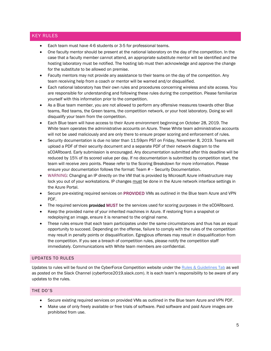#### <span id="page-5-0"></span>KEY RULES

- Each team must have 4-6 students or 3-5 for professional teams.
- One faculty mentor should be present at the national laboratory on the day of the competition. In the case that a faculty member cannot attend, an appropriate substitute mentor will be identified and the hosting laboratory must be notified. The hosting lab must then acknowledge and approve the change for the substitute to be allowed on premise.
- Faculty mentors may not provide any assistance to their teams on the day of the competition. Any team receiving help from a coach or mentor will be warned and/or disqualified.
- Each national laboratory has their own rules and procedures concerning wireless and site access. You are responsible for understanding and following these rules during the competition. Please familiarize yourself with this information prior to the competition.
- As a Blue team member, you are not allowed to perform any offensive measures towards other Blue teams, Red teams, the Green teams, the competition network, or your host laboratory. Doing so will disqualify your team from the competition.
- Each Blue team will have access to their Azure environment beginning on October 28, 2019. The White team operates the administrative accounts on Azure. These White team administrative accounts will not be used maliciously and are only there to ensure proper scoring and enforcement of rules.
- Security documentation is due no later than 11:59pm PST on Friday, November 8, 2019. Teams will upload a PDF of their security document and a separate PDF of their network diagram to the sCOARboard. Early submission is encouraged. Any documentation submitted after this deadline will be reduced by 15% of its scored value per day. If no documentation is submitted by competition start, the team will receive zero points. Please refer to the Scoring Breakdown for more information. Please ensure your documentation follows the format: Team # – Security Documentation.
- WARNING: Changing an IP directly on the VM that is provided by Microsoft Azure infrastructure may lock you out of your workstations. IP changes must be done in the Azure network interface settings in the Azure Portal.
- Secure pre-existing required services on PROVIDED VMs as outlined in the Blue team Azure and VPN PDF.
- The required services **provided MUST** be the services used for scoring purposes in the sCOARboard.
- Keep the provided name of your inherited machines in Azure. If restoring from a snapshot or redeploying an image, ensure it is renamed to the original name.
- These rules ensure that each team participates under the same circumstances and thus has an equal opportunity to succeed. Depending on the offense, failure to comply with the rules of the competition may result in penalty points or disqualification. Egregious offenses may result in disqualification from the competition. If you see a breach of competition rules, please notify the competition staff immediately. Communications with White team members are confidential.

#### <span id="page-5-1"></span>UPDATES TO RULES

Updates to rules will be found on the CyberForce Competition website under th[e Rules & Guidelines Tab](https://cyberforcecompetition.com/rules-guidelines/) as well as posted on the Slack Channel (cyberforce2019.slack.com). It is each team's responsibility to be aware of any updates to the rules.

#### <span id="page-5-2"></span>THE DO'S

- Secure existing required services on provided VMs as outlined in the Blue team Azure and VPN PDF.
- Make use of only freely available or free trials of software. Paid software and paid Azure images are prohibited from use.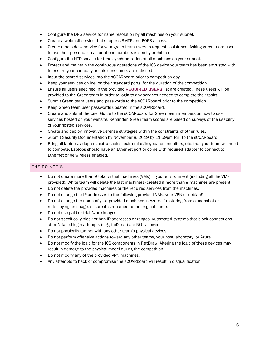- Configure the DNS service for name resolution by all machines on your subnet.
- Create a webmail service that supports SMTP and POP3 access.
- Create a help desk service for your green team users to request assistance. Asking green team users to use their personal email or phone numbers is strictly prohibited.
- Configure the NTP service for time synchronization of all machines on your subnet.
- Protect and maintain the continuous operations of the ICS device your team has been entrusted with to ensure your company and its consumers are satisfied.
- Input the scored services into the sCOARboard prior to competition day.
- Keep your services online, on their standard ports, for the duration of the competition.
- Ensure all users specified in the provided REQUIRED USERS list are created. These users will be provided to the Green team in order to login to any services needed to complete their tasks.
- Submit Green team users and passwords to the sCOARboard prior to the competition.
- Keep Green team user passwords updated in the sCOARboard.
- Create and submit the User Guide to the sCOARboard for Green team members on how to use services hosted on your website. Reminder, Green team scores are based on surveys of the usability of your hosted services.
- Create and deploy innovative defense strategies within the constraints of other rules.
- Submit Security Documentation by November 8, 2019 by 11:59pm PST to the sCOARboard.
- Bring all laptops, adapters, extra cables, extra mice/keyboards, monitors, etc. that your team will need to compete. Laptops should have an Ethernet port or come with required adapter to connect to Ethernet or be wireless enabled.

#### <span id="page-6-0"></span>THE DO NOT'S

- Do not create more than 9 total virtual machines (VMs) in your environment (including all the VMs provided). White team will delete the last machine(s) created if more than 9 machines are present.
- Do not delete the provided machines or the required services from the machines.
- Do not change the IP addresses to the following provided VMs: your VPN or debian9.
- Do not change the name of your provided machines in Azure. If restoring from a snapshot or redeploying an image, ensure it is renamed to the original name.
- Do not use paid or trial Azure images.
- Do not specifically block or ban IP addresses or ranges. Automated systems that block connections after N failed login attempts (e.g., fail2ban) are NOT allowed.
- Do not physically tamper with any other team's physical devices.
- Do not perform offensive actions toward any other teams, your host laboratory, or Azure.
- Do not modify the logic for the ICS components in RexDraw. Altering the logic of these devices may result in damage to the physical model during the competition.
- Do not modify any of the provided VPN machines.
- Any attempts to hack or compromise the sCOARboard will result in disqualification.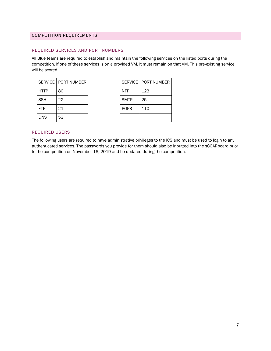#### <span id="page-7-1"></span><span id="page-7-0"></span>COMPETITION REQUIREMENTS

#### REQUIRED SERVICES AND PORT NUMBERS

All Blue teams are required to establish and maintain the following services on the listed ports during the competition. If one of these services is on a provided VM, it must remain on that VM. This pre-existing service will be scored.

|             | SERVICE   PORT NUMBER | SERVICE   POR    |     |
|-------------|-----------------------|------------------|-----|
| <b>HTTP</b> | 80                    | <b>NTP</b>       | 123 |
| <b>SSH</b>  | 22                    | <b>SMTP</b>      | 25  |
| l FTP       | 21                    | POP <sub>3</sub> | 110 |
| <b>DNS</b>  | 53                    |                  |     |

|      | SERVICE   PORT NUMBER |                  | SERVICE   PORT NUMBER |
|------|-----------------------|------------------|-----------------------|
| HTTP | 80                    | <b>NTP</b>       | 123                   |
| SSH  | 22                    | <b>SMTP</b>      | 25                    |
| FTP  | 21                    | POP <sub>3</sub> | 110                   |
| DNS  | 53                    |                  |                       |

#### <span id="page-7-2"></span>REQUIRED USERS

The following users are required to have administrative privileges to the ICS and must be used to login to any authenticated services. The passwords you provide for them should also be inputted into the sCOARboard prior to the competition on November 16, 2019 and be updated during the competition.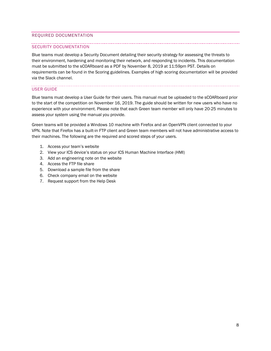#### <span id="page-8-0"></span>REQUIRED DOCUMENTATION

#### SECURITY DOCUMENTATION

Blue teams must develop a Security Document detailing their security strategy for assessing the threats to their environment, hardening and monitoring their network, and responding to incidents. This documentation must be submitted to the sCOARboard as a PDF by November 8, 2019 at 11:59pm PST. Details on requirements can be found in the Scoring guidelines. Examples of high scoring documentation will be provided via the Slack channel.

#### USER GUIDE

Blue teams must develop a User Guide for their users. This manual must be uploaded to the sCOARboard prior to the start of the competition on November 16, 2019. The guide should be written for new users who have no experience with your environment. Please note that each Green team member will only have 20-25 minutes to assess your system using the manual you provide.

Green teams will be provided a Windows 10 machine with Firefox and an OpenVPN client connected to your VPN. Note that Firefox has a built-in FTP client and Green team members will not have administrative access to their machines. The following are the required and scored steps of your users.

- 1. Access your team's website
- 2. View your ICS device's status on your ICS Human Machine Interface (HMI)
- 3. Add an engineering note on the website
- 4. Access the FTP file share
- 5. Download a sample file from the share
- 6. Check company email on the website
- 7. Request support from the Help Desk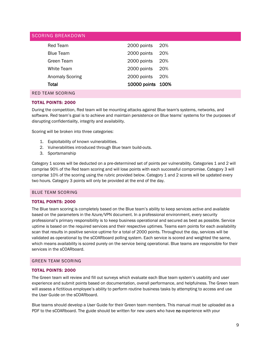#### <span id="page-9-0"></span>SCORING BREAKDOWN

| Red Team               | 2000 points       | 20%   |
|------------------------|-------------------|-------|
| <b>Blue Team</b>       | 2000 points       | 20%   |
| Green Team             | 2000 points       | 20%   |
| White Team             | 2000 points       | 20%   |
| <b>Anomaly Scoring</b> | 2000 points       | - 20% |
| <b>Total</b>           | 10000 points 100% |       |
| RED TEAM SCORING       |                   |       |

#### <span id="page-9-1"></span>TOTAL POINTS: 2000

During the competition, Red team will be mounting attacks against Blue team's systems, networks, and software. Red team's goal is to achieve and maintain persistence on Blue teams' systems for the purposes of disrupting confidentiality, integrity and availability.

Scoring will be broken into three categories:

- 1. Exploitability of known vulnerabilities.
- 2. Vulnerabilities introduced through Blue team build-outs.
- 3. Sportsmanship

Category 1 scores will be deducted on a pre-determined set of points per vulnerability. Categories 1 and 2 will comprise 90% of the Red team scoring and will lose points with each successful compromise. Category 3 will comprise 10% of the scoring using the rubric provided below. Category 1 and 2 scores will be updated every two hours. Category 3 points will only be provided at the end of the day.

### <span id="page-9-2"></span>BLUE TEAM SCORING

#### TOTAL POINTS: 2000

The Blue team scoring is completely based on the Blue team's ability to keep services active and available based on the parameters in the Azure/VPN document. In a professional environment, every security professional's primary responsibility is to keep business operational and secured as best as possible. Service uptime is based on the required services and their respective uptimes. Teams earn points for each availability scan that results in positive service uptime for a total of 2000 points. Throughout the day, services will be validated as operational by the sCOARboard polling system. Each service is scored and weighted the same, which means availability is scored purely on the service being operational. Blue teams are responsible for their services in the sCOARboard.

#### <span id="page-9-3"></span>GREEN TEAM SCORING

#### TOTAL POINTS: 2000

The Green team will review and fill out surveys which evaluate each Blue team system's usability and user experience and submit points based on documentation, overall performance, and helpfulness. The Green team will assess a fictitious employee's ability to perform routine business tasks by attempting to access and use the User Guide on the sCOARboard.

Blue teams should develop a User Guide for their Green team members. This manual must be uploaded as a PDF to the sCOARboard. The guide should be written for new users who have no experience with your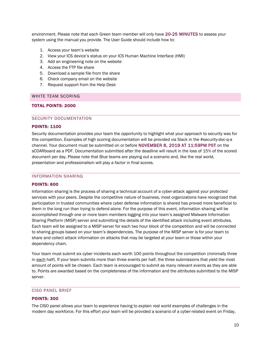environment. Please note that each Green team member will only have 20-25 MINUTES to assess your system using the manual you provide. The User Guide should include how to:

- 1. Access your team's website
- 2. View your ICS device's status on your ICS Human Machine Interface (HMI)
- 3. Add an engineering note on the website
- 4. Access the FTP file share
- 5. Download a sample file from the share
- 6. Check company email on the website
- 7. Request support from the Help Desk

#### <span id="page-10-0"></span>WHITE TEAM SCORING

#### <span id="page-10-1"></span>TOTAL POINTS: 2000

#### SECURITY DOCUMENTATION

#### POINTS: 1100

Security documentation provides your team the opportunity to highlight what your approach to security was for this competition. Examples of high scoring documentation will be provided via Slack in the #security-doc-q-a channel. Your document must be submitted on or before NOVEMBER 8, 2019 AT 11:59PM PST on the sCOARboard as a PDF. Documentation submitted after the deadline will result in the loss of 15% of the scored document per day. Please note that Blue teams are playing out a scenario and, like the real world, presentation and professionalism will play a factor in final scores.

#### <span id="page-10-2"></span>INFORMATION SHARING

#### POINTS: 600

Information sharing is the process of sharing a technical account of a cyber-attack against your protected services with your peers. Despite the competitive nature of business, most organizations have recognized that participation in trusted communities where cyber defense information is shared has proved more beneficial to them in the long run than trying to defend alone. For the purpose of this event, information sharing will be accomplished through one or more team members logging into your team's assigned Malware Information Sharing Platform (MISP) server and submitting the details of the identified attack including event attributes. Each team will be assigned to a MISP server for each two hour block of the competition and will be connected to sharing groups based on your team's dependencies. The purpose of the MISP server is for your team to share and collect attack information on attacks that may be targeted at your team or those within your dependency chain.

Your team must submit six cyber incidents each worth 100 points throughout the competition (minimally three in each half). If your team submits more than three events per half, the three submissions that yield the most amount of points will be chosen. Each team is encouraged to submit as many relevant events as they are able to. Points are awarded based on the completeness of the information and the attributes submitted to the MISP server.

#### <span id="page-10-3"></span>CISO PANEL BRIEF

#### POINTS: 300

The CISO panel allows your team to experience having to explain real world examples of challenges in the modern day workforce. For this effort your team will be provided a scenario of a cyber-related event on Friday,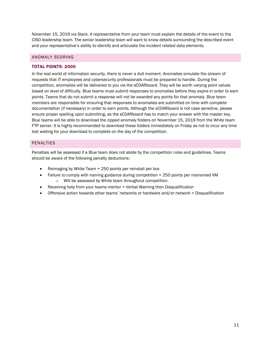November 15, 2019 via Slack. A representative from your team must explain the details of the event to the CISO leadership team. The senior leadership team will want to know details surrounding the described event and your representative's ability to identify and articulate the incident related data elements.

#### <span id="page-11-0"></span>ANOMALY SCORING

#### TOTAL POINTS: 2000

In the real world of information security, there is never a dull moment. Anomalies simulate the stream of requests that IT employees and cybersecurity professionals must be prepared to handle. During the competition, anomalies will be delivered to you via the sCOARboard. They will be worth varying point values based on level of difficulty. Blue teams must submit responses to anomalies before they expire in order to earn points. Teams that do not submit a response will not be awarded any points for that anomaly. Blue team members are responsible for ensuring that responses to anomalies are submitted on time with complete documentation (if necessary) in order to earn points. Although the sCOARboard is not case sensitive, please ensure proper spelling upon submitting, as the sCOARboard has to match your answer with the master key. Blue teams will be able to download the zipped anomaly folders on November 15, 2019 from the White team FTP server. It is highly recommended to download these folders immediately on Friday as not to incur any time lost waiting for your download to complete on the day of the competition.

#### <span id="page-11-1"></span>PENALTIES

Penalties will be assessed if a Blue team does not abide by the competition rules and guidelines. Teams should be aware of the following penalty deductions:

- Reimaging by White Team = 250 points per reinstall per box
- Failure to comply with naming guidance during competition = 250 points per misnamed VM o Will be assessed by White team throughout competition.
- Receiving help from your teams mentor = Verbal Warning then Disqualification
- Offensive action towards other teams' networks or hardware and/or network = Disqualification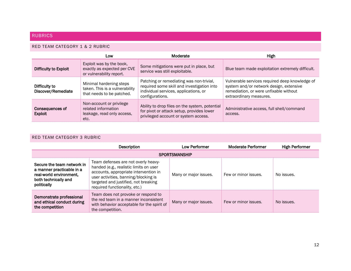#### RUBRICS

#### RED TEAM CATEGORY 1 & 2 RUBRIC

|                                     | Low                                                                                    | Moderate                                                                                                                                           | <b>High</b>                                                                                                                                                    |
|-------------------------------------|----------------------------------------------------------------------------------------|----------------------------------------------------------------------------------------------------------------------------------------------------|----------------------------------------------------------------------------------------------------------------------------------------------------------------|
| Difficulty to Exploit               | Exploit was by the book,<br>exactly as expected per CVE<br>or vulnerability report.    | Some mitigations were put in place, but<br>service was still exploitable.                                                                          | Blue team made exploitation extremely difficult.                                                                                                               |
| Difficulty to<br>Discover/Remediate | Minimal hardening steps<br>taken. This is a vulnerability<br>that needs to be patched. | Patching or remediating was non-trivial,<br>required some skill and investigation into<br>individual services, applications, or<br>configurations. | Vulnerable services required deep knowledge of<br>system and/or network design, extensive<br>remediation, or were unfixable without<br>extraordinary measures. |
| Consequences of<br><b>Exploit</b>   | Non-account or privilege<br>related information<br>leakage, read only access,<br>etc.  | Ability to drop files on the system, potential<br>for pivot or attack setup, provides lower<br>privileged account or system access.                | Administrative access, full shell/command<br>access.                                                                                                           |

#### <span id="page-12-1"></span><span id="page-12-0"></span>RED TEAM CATEGORY 3 RUBRIC

<span id="page-12-2"></span>

|                                                                                                                                                                                                                                                                                                                                                                      | Description                                                                                                                                    | Low Performer                                 | Moderate Performer   | <b>High Performer</b> |
|----------------------------------------------------------------------------------------------------------------------------------------------------------------------------------------------------------------------------------------------------------------------------------------------------------------------------------------------------------------------|------------------------------------------------------------------------------------------------------------------------------------------------|-----------------------------------------------|----------------------|-----------------------|
|                                                                                                                                                                                                                                                                                                                                                                      |                                                                                                                                                | <b>SPORTSMANSHIP</b>                          |                      |                       |
| Team defenses are not overly heavy-<br>Secure the team network in<br>handed (e.g., realistic limits on user<br>a manner practicable in a<br>accounts, appropriate intervention in<br>real-world environment,<br>user activities, banning/blocking is<br>both technically and<br>targeted and justified, not breaking<br>politically<br>required functionality, etc.) |                                                                                                                                                | Many or major issues.<br>Few or minor issues. |                      | No issues.            |
| Demonstrate professional<br>and ethical conduct during<br>the competition                                                                                                                                                                                                                                                                                            | Team does not provoke or respond to<br>the red team in a manner inconsistent<br>with behavior acceptable for the spirit of<br>the competition. | Many or major issues.                         | Few or minor issues. | No issues.            |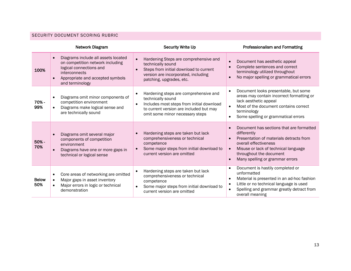#### SECURITY DOCUMENT SCORING RUBRIC

<span id="page-13-0"></span>

|                     | Network Diagram                                                                                                                                                            | <b>Security Write Up</b>                                                                                                                                                                           | <b>Professionalism and Formatting</b>                                                                                                                                                                                                                                    |
|---------------------|----------------------------------------------------------------------------------------------------------------------------------------------------------------------------|----------------------------------------------------------------------------------------------------------------------------------------------------------------------------------------------------|--------------------------------------------------------------------------------------------------------------------------------------------------------------------------------------------------------------------------------------------------------------------------|
| 100%                | Diagrams include all assets located<br>on competition network including<br>logical connections and<br>interconnects<br>Appropriate and accepted symbols<br>and terminology | Hardening Steps are comprehensive and<br>$\bullet$<br>technically sound<br>Steps from initial download to current<br>version are incorporated, including<br>patching, upgrades, etc.               | Document has aesthetic appeal<br>$\bullet$<br>Complete sentences and correct<br>$\bullet$<br>terminology utilized throughout<br>No major spelling or grammatical errors                                                                                                  |
| 70% -<br>99%        | Diagrams omit minor components of<br>competition environment<br>Diagrams make logical sense and<br>are technically sound                                                   | Hardening steps are comprehensive and<br>technically sound<br>Includes most steps from initial download<br>$\bullet$<br>to current version are included but may<br>omit some minor necessary steps | Document looks presentable, but some<br>$\bullet$<br>areas may contain incorrect formatting or<br>lack aesthetic appeal<br>Most of the document contains correct<br>terminology<br>Some spelling or grammatical errors<br>$\bullet$                                      |
| 50% -<br>70%        | Diagrams omit several major<br>components of competition<br>environment<br>Diagrams have one or more gaps in<br>technical or logical sense                                 | Hardening steps are taken but lack<br>$\bullet$<br>comprehensiveness or technical<br>competence<br>Some major steps from initial download to<br>current version are omitted                        | Document has sections that are formatted<br>$\bullet$<br>differently<br>Presentation of materials detracts from<br>$\bullet$<br>overall effectiveness<br>Misuse or lack of technical language<br>$\bullet$<br>throughout the document<br>Many spelling or grammar errors |
| <b>Below</b><br>50% | Core areas of networking are omitted<br>Major gaps in asset inventory<br>Major errors in logic or technical<br>demonstration                                               | Hardening steps are taken but lack<br>$\bullet$<br>comprehensiveness or technical<br>competence<br>Some major steps from initial download to<br>current version are omitted                        | Document is hastily completed or<br>$\bullet$<br>unformatted<br>Material is presented in an ad-hoc fashion<br>$\bullet$<br>Little or no technical language is used<br>$\bullet$<br>Spelling and grammar greatly detract from<br>overall meaning                          |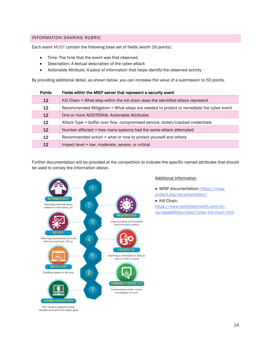#### <span id="page-14-0"></span>INFORMATION SHARING RUBRIC

Each event MUST contain the following base set of fields (worth 16 points):

- Time: The time that the event was first observed.
- Description: A textual description of the cyber attack
- Actionable Attribute: A piece of information that helps identify the observed activity

By providing additional detail, as shown below, you can increase the value of a submission to 50 points.

| <b>Points</b>     | Fields within the MISP server that represent a security event                          |  |  |
|-------------------|----------------------------------------------------------------------------------------|--|--|
| $12 \overline{ }$ | Kill Chain = What step within the kill chain does the identified attack represent      |  |  |
| 12 <sup>°</sup>   | Recommended Mitigation = What steps are needed to protect or remediate the cyber event |  |  |
| 12                | One or more ADDITIONAL Actionable Attributes                                           |  |  |
| 12                | Attack Type = buffer over flow, compromised service, stolen/cracked credentials        |  |  |
| $12 \overline{ }$ | Number affected = how many systems had the same attack attempted                       |  |  |
| 12 <sup>2</sup>   | Recommended action = what or how to protect yourself and others                        |  |  |
| 12                | Impact level = low, moderate, severe, or critical                                      |  |  |

Further documentation will be provided at the competition to indicate the specific named attributes that should be used to convey the information above.



#### Additional Information

- MISP documentation: [https://misp](https://misp-project.org/documentation/)[project.org/documentation/](https://misp-project.org/documentation/)
- Kill Chain:

[https://www.lockheedmartin.com/en](https://www.lockheedmartin.com/en-us/capabilities/cyber/cyber-kill-chain.html)[us/capabilities/cyber/cyber-kill-chain.html](https://www.lockheedmartin.com/en-us/capabilities/cyber/cyber-kill-chain.html)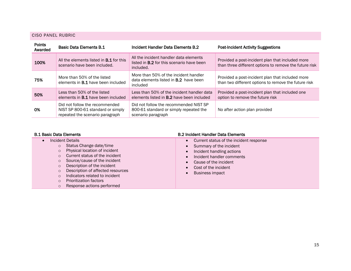### CISO PANEL RUBRIC

| <b>Points</b><br>Awarded | Basic Data Elements B.1                                                                                | Incident Handler Data Elements B.2                                                                      | <b>Post-Incident Activity Suggestions</b>                                                                  |
|--------------------------|--------------------------------------------------------------------------------------------------------|---------------------------------------------------------------------------------------------------------|------------------------------------------------------------------------------------------------------------|
| 100%                     | All the elements listed in <b>B.1</b> for this<br>scenario have been included.                         | All the incident handler data elements<br>listed in <b>B.2</b> for this scenario have been<br>included. | Provided a post-incident plan that included more<br>than three different options to remove the future risk |
| 75%                      | More than 50% of the listed<br>elements in <b>B.1</b> have been included                               | More than 50% of the incident handler<br>data elements listed in <b>B.2</b> have been<br>included       | Provided a post-incident plan that included more<br>than two different options to remove the future risk   |
| 50%                      | Less than 50% of the listed<br>elements in <b>B.1</b> have been included                               | Less than 50% of the incident handler data<br>elements listed in <b>B.2</b> have been included          | Provided a post-incident plan that included one<br>option to remove the future risk                        |
| 0%                       | Did not follow the recommended<br>NIST SP 800-61 standard or simply<br>repeated the scenario paragraph | Did not follow the recommended NIST SP<br>800-61 standard or simply repeated the<br>scenario paragraph  | No after action plan provided                                                                              |

#### <span id="page-15-0"></span>B.1 Basic Data Elements **B.2 Incident Handler Data Elements**

| Incident Details<br>$\circ$<br>$\circ$<br>$\circ$<br>$\circ$<br>$\circ$<br>$\circ$<br>$\circ$<br>$\circ$<br>$\circ$ | Status Change date/time<br>Physical location of incident<br>Current status of the incident<br>Source/cause of the incident<br>Description of the incident<br>Description of affected resources<br>Indicators related to incident<br><b>Prioritization factors</b><br>Response actions performed |  | Current status of the incident response<br>Summary of the incident<br>Incident handling actions<br>Incident handler comments<br>Cause of the incident<br>Cost of the incident<br><b>Business impact</b> |
|---------------------------------------------------------------------------------------------------------------------|-------------------------------------------------------------------------------------------------------------------------------------------------------------------------------------------------------------------------------------------------------------------------------------------------|--|---------------------------------------------------------------------------------------------------------------------------------------------------------------------------------------------------------|
|---------------------------------------------------------------------------------------------------------------------|-------------------------------------------------------------------------------------------------------------------------------------------------------------------------------------------------------------------------------------------------------------------------------------------------|--|---------------------------------------------------------------------------------------------------------------------------------------------------------------------------------------------------------|